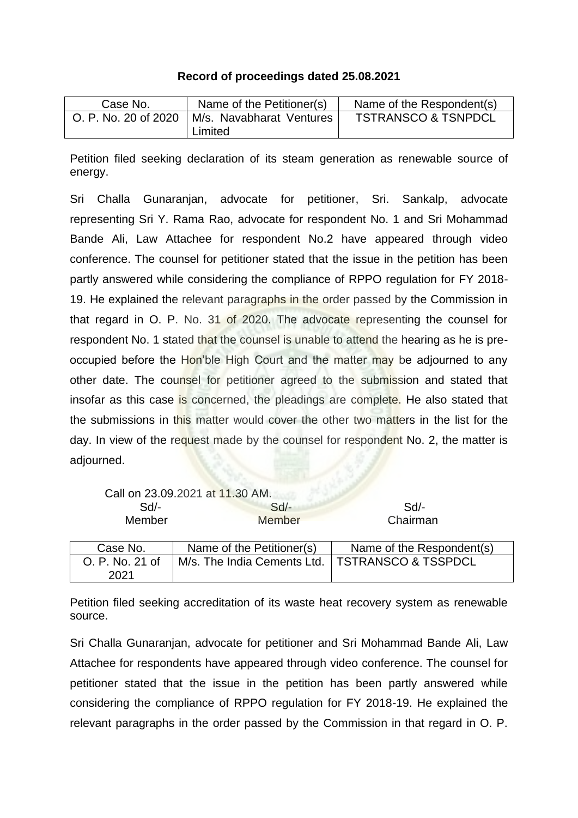## **Record of proceedings dated 25.08.2021**

| Case No.             | Name of the Petitioner(s)           | Name of the Respondent(s)      |  |
|----------------------|-------------------------------------|--------------------------------|--|
| O. P. No. 20 of 2020 | M/s. Navabharat Ventures<br>Limited | <b>TSTRANSCO &amp; TSNPDCL</b> |  |

Petition filed seeking declaration of its steam generation as renewable source of energy.

Sri Challa Gunaranjan, advocate for petitioner, Sri. Sankalp, advocate representing Sri Y. Rama Rao, advocate for respondent No. 1 and Sri Mohammad Bande Ali, Law Attachee for respondent No.2 have appeared through video conference. The counsel for petitioner stated that the issue in the petition has been partly answered while considering the compliance of RPPO regulation for FY 2018- 19. He explained the relevant paragraphs in the order passed by the Commission in that regard in O. P. No. 31 of 2020. The advocate representing the counsel for respondent No. 1 stated that the counsel is unable to attend the hearing as he is preoccupied before the Hon'ble High Court and the matter may be adjourned to any other date. The counsel for petitioner agreed to the submission and stated that insofar as this case is concerned, the pleadings are complete. He also stated that the submissions in this matter would cover the other two matters in the list for the day. In view of the request made by the counsel for respondent No. 2, the matter is adjourned.

|                 | Call on 23.09.2021 at 11.30 AM.                   |                           |
|-----------------|---------------------------------------------------|---------------------------|
| $Sd$ -          | $Sd$ -                                            | Sd                        |
| Member          | <b>Member</b>                                     | Chairman                  |
|                 |                                                   |                           |
| Case No.        | Name of the Petitioner(s)                         | Name of the Respondent(s) |
| O. P. No. 21 of | M/s. The India Cements Ltd.   TSTRANSCO & TSSPDCL |                           |
|                 |                                                   |                           |

Petition filed seeking accreditation of its waste heat recovery system as renewable source.

Sri Challa Gunaranjan, advocate for petitioner and Sri Mohammad Bande Ali, Law Attachee for respondents have appeared through video conference. The counsel for petitioner stated that the issue in the petition has been partly answered while considering the compliance of RPPO regulation for FY 2018-19. He explained the relevant paragraphs in the order passed by the Commission in that regard in O. P.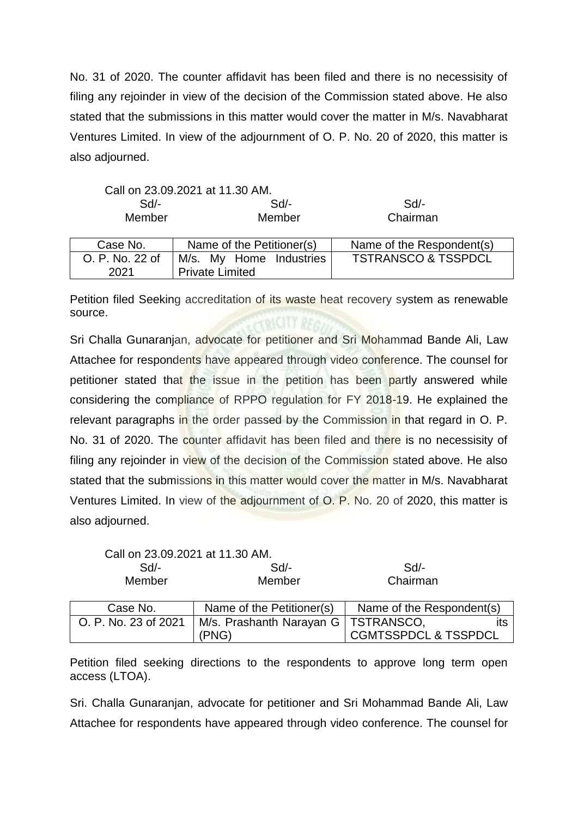No. 31 of 2020. The counter affidavit has been filed and there is no necessisity of filing any rejoinder in view of the decision of the Commission stated above. He also stated that the submissions in this matter would cover the matter in M/s. Navabharat Ventures Limited. In view of the adjournment of O. P. No. 20 of 2020, this matter is also adjourned.

|                 | Call on 23.09.2021 at 11.30 AM. |                                |  |
|-----------------|---------------------------------|--------------------------------|--|
| $Sd$ -          | $Sd$ -                          | Sd                             |  |
| Member          | Member                          | Chairman                       |  |
|                 |                                 |                                |  |
| Case No.        | Name of the Petitioner(s)       | Name of the Respondent(s)      |  |
| O. P. No. 22 of | M/s. My Home Industries         | <b>TSTRANSCO &amp; TSSPDCL</b> |  |
| 2021            | <b>Private Limited</b>          |                                |  |

Petition filed Seeking accreditation of its waste heat recovery system as renewable source.

Sri Challa Gunaranjan, advocate for petitioner and Sri Mohammad Bande Ali, Law Attachee for respondents have appeared through video conference. The counsel for petitioner stated that the issue in the petition has been partly answered while considering the compliance of RPPO regulation for FY 2018-19. He explained the relevant paragraphs in the order passed by the Commission in that regard in O. P. No. 31 of 2020. The counter affidavit has been filed and there is no necessisity of filing any rejoinder in view of the decision of the Commission stated above. He also stated that the submissions in this matter would cover the matter in M/s. Navabharat Ventures Limited. In view of the adjournment of O. P. No. 20 of 2020, this matter is also adjourned.

| Call on 23.09.2021 at 11.30 AM. |                                       |                                 |  |
|---------------------------------|---------------------------------------|---------------------------------|--|
| $Sd$ -                          | Sd                                    | Sd                              |  |
| Member                          | Member                                | Chairman                        |  |
|                                 |                                       |                                 |  |
| Case No.                        | Name of the Petitioner(s)             | Name of the Respondent(s)       |  |
| O. P. No. 23 of 2021            | M/s. Prashanth Narayan G   TSTRANSCO, |                                 |  |
|                                 | (PNG)                                 | <b>CGMTSSPDCL &amp; TSSPDCL</b> |  |

Petition filed seeking directions to the respondents to approve long term open access (LTOA).

Sri. Challa Gunaranjan, advocate for petitioner and Sri Mohammad Bande Ali, Law Attachee for respondents have appeared through video conference. The counsel for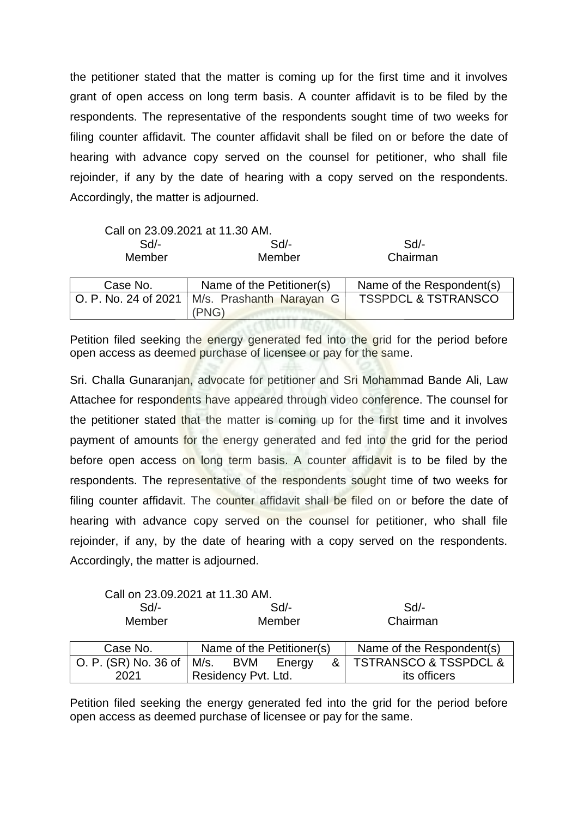the petitioner stated that the matter is coming up for the first time and it involves grant of open access on long term basis. A counter affidavit is to be filed by the respondents. The representative of the respondents sought time of two weeks for filing counter affidavit. The counter affidavit shall be filed on or before the date of hearing with advance copy served on the counsel for petitioner, who shall file rejoinder, if any by the date of hearing with a copy served on the respondents. Accordingly, the matter is adjourned.

|                      | Call on 23.09.2021 at 11.30 AM. |                                |
|----------------------|---------------------------------|--------------------------------|
| $Sd$ -               | $Sd$ -                          | Sd                             |
| Member               | Member                          | Chairman                       |
|                      |                                 |                                |
| Case No.             | Name of the Petitioner(s)       | Name of the Respondent(s)      |
| O. P. No. 24 of 2021 | M/s. Prashanth Narayan G        | <b>TSSPDCL &amp; TSTRANSCO</b> |
|                      |                                 |                                |

Petition filed seeking the energy generated fed into the grid for the period before open access as deemed purchase of licensee or pay for the same.

Sri. Challa Gunaranjan, advocate for petitioner and Sri Mohammad Bande Ali, Law Attachee for respondents have appeared through video conference. The counsel for the petitioner stated that the matter is coming up for the first time and it involves payment of amounts for the energy generated and fed into the grid for the period before open access on long term basis. A counter affidavit is to be filed by the respondents. The representative of the respondents sought time of two weeks for filing counter affidavit. The counter affidavit shall be filed on or before the date of hearing with advance copy served on the counsel for petitioner, who shall file rejoinder, if any, by the date of hearing with a copy served on the respondents. Accordingly, the matter is adjourned.

Call on 23.09.2021 at 11.30 AM. Sd/- Sd/- Sd/- Member Member Chairman

| Case No.                         | Name of the Petitioner(s) |     | Name of the Respondent(s) |                         |
|----------------------------------|---------------------------|-----|---------------------------|-------------------------|
| O. P. (SR) No. 36 of $\mid$ M/s. |                           | BVM | Energy                    | & TSTRANSCO & TSSPDCL & |
| 2021                             | Residency Pvt. Ltd.       |     | its officers              |                         |

Petition filed seeking the energy generated fed into the grid for the period before open access as deemed purchase of licensee or pay for the same.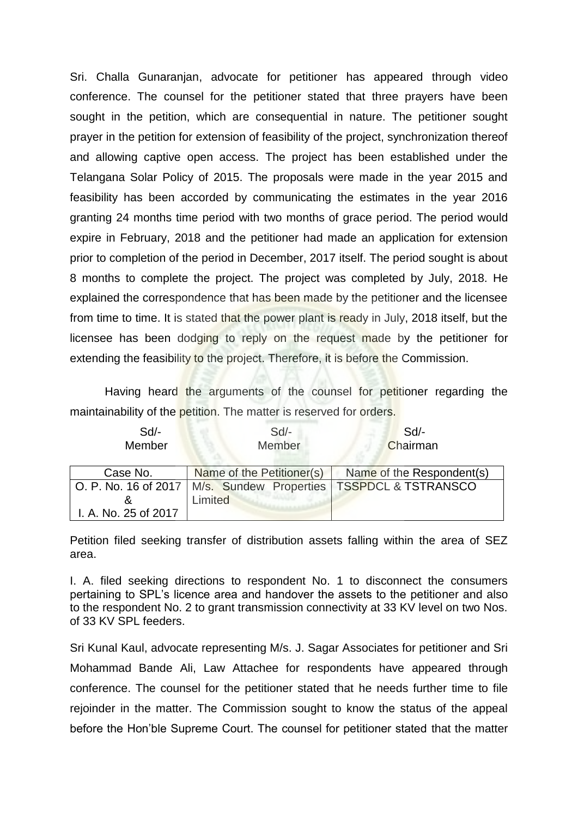Sri. Challa Gunaranjan, advocate for petitioner has appeared through video conference. The counsel for the petitioner stated that three prayers have been sought in the petition, which are consequential in nature. The petitioner sought prayer in the petition for extension of feasibility of the project, synchronization thereof and allowing captive open access. The project has been established under the Telangana Solar Policy of 2015. The proposals were made in the year 2015 and feasibility has been accorded by communicating the estimates in the year 2016 granting 24 months time period with two months of grace period. The period would expire in February, 2018 and the petitioner had made an application for extension prior to completion of the period in December, 2017 itself. The period sought is about 8 months to complete the project. The project was completed by July, 2018. He explained the correspondence that has been made by the petitioner and the licensee from time to time. It is stated that the power plant is ready in July, 2018 itself, but the licensee has been dodging to reply on the request made by the petitioner for extending the feasibility to the project. Therefore, it is before the Commission.

Having heard the arguments of the counsel for petitioner regarding the maintainability of the petition. The matter is reserved for orders.

| $Sd$ -               | $Sd$ -                    | Sd                                                                  |
|----------------------|---------------------------|---------------------------------------------------------------------|
| Member               | Member                    | Chairman                                                            |
|                      |                           |                                                                     |
| Case No.             | Name of the Petitioner(s) | Name of the Respondent(s)                                           |
|                      |                           | O. P. No. 16 of 2017   M/s. Sundew Properties   TSSPDCL & TSTRANSCO |
|                      | Limited                   |                                                                     |
| I. A. No. 25 of 2017 |                           |                                                                     |

Petition filed seeking transfer of distribution assets falling within the area of SEZ area.

I. A. filed seeking directions to respondent No. 1 to disconnect the consumers pertaining to SPL's licence area and handover the assets to the petitioner and also to the respondent No. 2 to grant transmission connectivity at 33 KV level on two Nos. of 33 KV SPL feeders.

Sri Kunal Kaul, advocate representing M/s. J. Sagar Associates for petitioner and Sri Mohammad Bande Ali, Law Attachee for respondents have appeared through conference. The counsel for the petitioner stated that he needs further time to file rejoinder in the matter. The Commission sought to know the status of the appeal before the Hon'ble Supreme Court. The counsel for petitioner stated that the matter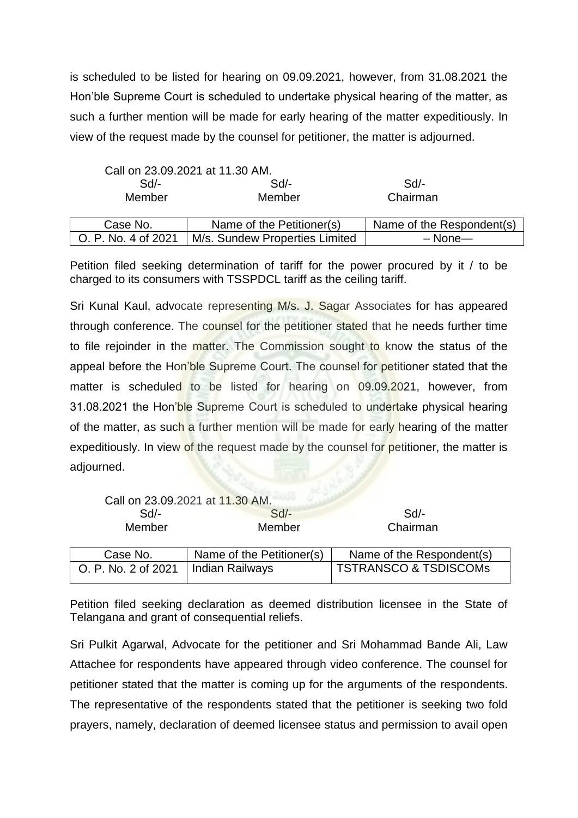is scheduled to be listed for hearing on 09.09.2021, however, from 31.08.2021 the Hon'ble Supreme Court is scheduled to undertake physical hearing of the matter, as such a further mention will be made for early hearing of the matter expeditiously. In view of the request made by the counsel for petitioner, the matter is adjourned.

|                     | Call on 23.09.2021 at 11.30 AM. |                           |
|---------------------|---------------------------------|---------------------------|
| $Sd$ -              | $Sd$ -                          | Sd/-                      |
| Member              | Member                          | Chairman                  |
|                     |                                 |                           |
| Case No.            | Name of the Petitioner(s)       | Name of the Respondent(s) |
| O. P. No. 4 of 2021 | M/s. Sundew Properties Limited  | $-$ None $-$              |

Petition filed seeking determination of tariff for the power procured by it / to be charged to its consumers with TSSPDCL tariff as the ceiling tariff.

Sri Kunal Kaul, advocate representing M/s. J. Sagar Associates for has appeared through conference. The counsel for the petitioner stated that he needs further time to file rejoinder in the matter. The Commission sought to know the status of the appeal before the Hon'ble Supreme Court. The counsel for petitioner stated that the matter is scheduled to be listed for hearing on 09.09.2021, however, from 31.08.2021 the Hon'ble Supreme Court is scheduled to undertake physical hearing of the matter, as such a further mention will be made for early hearing of the matter expeditiously. In view of the request made by the counsel for petitioner, the matter is adjourned.

| Call on 23.09.2021 at 11.30 AM. |                           |                                  |  |
|---------------------------------|---------------------------|----------------------------------|--|
| Sd                              | $Sd$ -                    | Sd                               |  |
| Member<br>Member                |                           | Chairman                         |  |
|                                 |                           |                                  |  |
| Case No.                        | Name of the Petitioner(s) | Name of the Respondent(s)        |  |
| O. P. No. 2 of 2021             | <b>Indian Railways</b>    | <b>TSTRANSCO &amp; TSDISCOMS</b> |  |

Petition filed seeking declaration as deemed distribution licensee in the State of Telangana and grant of consequential reliefs.

Sri Pulkit Agarwal, Advocate for the petitioner and Sri Mohammad Bande Ali, Law Attachee for respondents have appeared through video conference. The counsel for petitioner stated that the matter is coming up for the arguments of the respondents. The representative of the respondents stated that the petitioner is seeking two fold prayers, namely, declaration of deemed licensee status and permission to avail open